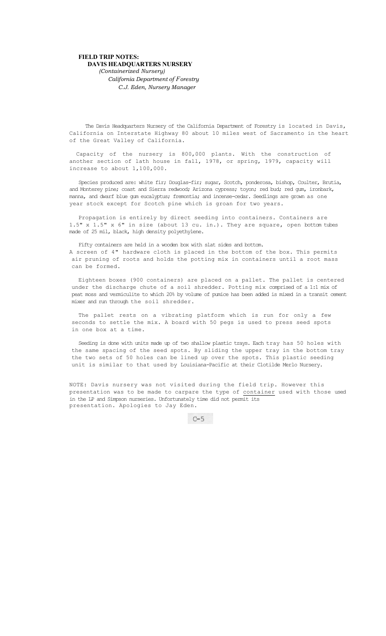## **FIELD TRIP NOTES: DAVIS HEADQUARTERS NURSERY**

*(Containerized Nursery) California Department of Forestry C.J. Eden, Nursery Manager* 

The Davis Headquarters Nursery of the California Department of Forestry is located in Davis, California on Interstate Highway 80 about 10 miles west of Sacramento in the heart of the Great Valley of California.

Capacity of the nursery is 800,000 plants. With the construction of another section of lath house in fall, 1978, or spring, 1979, capacity will increase to about 1,100,000.

Species produced are: white fir; Douglas-fir; sugar, Scotch, ponderosa, bishop, Coulter, Brutia, and Monterey pine; coast and Sierra redwood; Arizona cypress; toyon; red bud; red gum, ironbark, manna, and dwarf blue gum eucalyptus; fremontia; and incense-cedar. Seedlings are grown as one year stock except for Scotch pine which is groan for two years.

Propagation is entirely by direct seeding into containers. Containers are 1.5" x 1.5" x 6" in size (about 13 cu. in.). They are square, open bottom tubes made of 25 mil, black, high density polyethylene.

Fifty containers are held in a wooden box with slat sides and bottom. A screen of 4" hardware cloth is placed in the bottom of the box. This permits air pruning of roots and holds the potting mix in containers until a root mass can be formed.

Eighteen boxes (900 containers) are placed on a pallet. The pallet is centered under the discharge chute of a soil shredder. Potting mix comprised of a 1:1 mix of peat moss and vermiculite to which 20% by volume of pumice has been added is mixed in a transit cement mixer and run through the soil shredder.

The pallet rests on a vibrating platform which is run for only a few seconds to settle the mix. A board with 50 pegs is used to press seed spots in one box at a time.

Seeding is done with units made up of two shallow plastic trays. Each tray has 50 holes with the same spacing of the seed spots. By sliding the upper tray in the bottom tray the two sets of 50 holes can be lined up over the spots. This plastic seeding unit is similar to that used by Louisiana-Pacific at their Clotilde Merlo Nursery.

NOTE: Davis nursery was not visited during the field trip. However this presentation was to be made to carpare the type of container used with those used in the LP and Simpson nurseries. Unfortunately time did not permit its presentation. Apologies to Jay Eden.